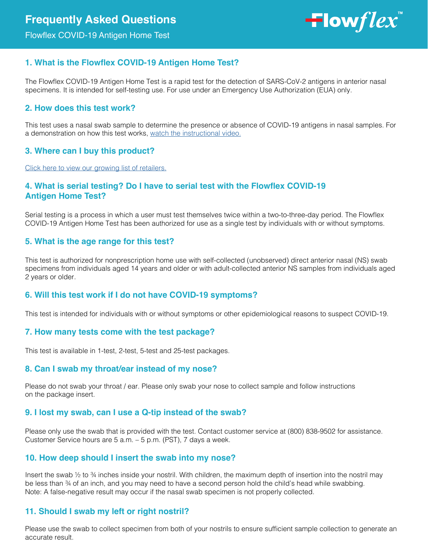Flowflex COVID-19 Antigen Home Test

 $\blacksquare$ low $flex$ 

# **1. What is the Flowflex COVID-19 Antigen Home Test?**

The Flowflex COVID-19 Antigen Home Test is a rapid test for the detection of SARS-CoV-2 antigens in anterior nasal specimens. It is intended for self-testing use. For use under an Emergency Use Authorization (EUA) only.

# **2. How does this test work?**

This test uses a nasal swab sample to determine the presence or absence of COVID-19 antigens in nasal samples. For a demonstration on how this test works, [watch the instructional video.](https://flowflexcovid.com/#resources)

## **3. Where can I buy this product?**

[Click here to view our growing list of retailers.](https://flowflexcovid.com/#buy)

# **4. What is serial testing? Do I have to serial test with the Flowflex COVID-19 Antigen Home Test?**

Serial testing is a process in which a user must test themselves twice within a two-to-three-day period. The Flowflex COVID-19 Antigen Home Test has been authorized for use as a single test by individuals with or without symptoms.

## **5. What is the age range for this test?**

This test is authorized for nonprescription home use with self-collected (unobserved) direct anterior nasal (NS) swab specimens from individuals aged 14 years and older or with adult-collected anterior NS samples from individuals aged 2 years or older.

# **6. Will this test work if I do not have COVID-19 symptoms?**

This test is intended for individuals with or without symptoms or other epidemiological reasons to suspect COVID-19.

## **7. How many tests come with the test package?**

This test is available in 1-test, 2-test, 5-test and 25-test packages.

## **8. Can I swab my throat/ear instead of my nose?**

Please do not swab your throat / ear. Please only swab your nose to collect sample and follow instructions on the package insert.

## **9. I lost my swab, can I use a Q-tip instead of the swab?**

Please only use the swab that is provided with the test. Contact customer service at (800) 838-9502 for assistance. Customer Service hours are 5 a.m. – 5 p.m. (PST), 7 days a week.

## **10. How deep should I insert the swab into my nose?**

Insert the swab 1/2 to 3/4 inches inside your nostril. With children, the maximum depth of insertion into the nostril may be less than ¾ of an inch, and you may need to have a second person hold the child's head while swabbing. Note: A false-negative result may occur if the nasal swab specimen is not properly collected.

# **11. Should I swab my left or right nostril?**

Please use the swab to collect specimen from both of your nostrils to ensure sufficient sample collection to generate an accurate result.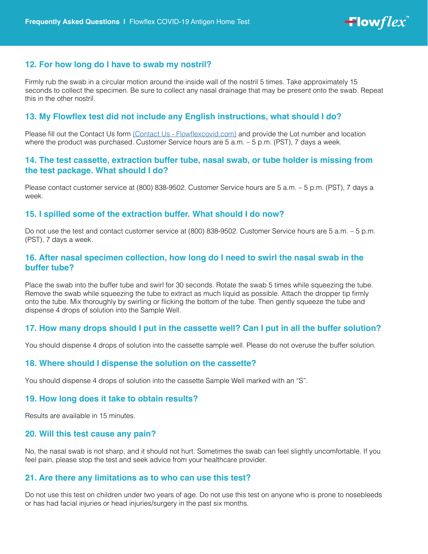

## **12. For how long do I have to swab my nostril?**

Firmly rub the swab in a circular motion around the inside wall of the nostril 5 times. Take approximately 15 seconds to collect the specimen. Be sure to collect any nasal drainage that may be present onto the swab. Repeat this in the other nostril.

## **13. My Flowflex test did not include any English instructions, what should I do?**

Please fill out the Contact Us form [\(Contact Us - Flowflexcovid.com\)](https://flowflexcovid.com/contact-us/) and provide the Lot number and location where the product was purchased. Customer Service hours are 5 a.m. – 5 p.m. (PST), 7 days a week.

## **14. The test cassette, extraction buffer tube, nasal swab, or tube holder is missing from the test package. What should I do?**

Please contact customer service at (800) 838-9502. Customer Service hours are 5 a.m. – 5 p.m. (PST), 7 days a week.

#### **15. I spilled some of the extraction buffer. What should I do now?**

Do not use the test and contact customer service at (800) 838-9502. Customer Service hours are 5 a.m. – 5 p.m. (PST), 7 days a week.

## **16. After nasal specimen collection, how long do I need to swirl the nasal swab in the buffer tube?**

Place the swab into the buffer tube and swirl for 30 seconds. Rotate the swab 5 times while squeezing the tube. Remove the swab while squeezing the tube to extract as much liquid as possible. Attach the dropper tip firmly onto the tube. Mix thoroughly by swirling or flicking the bottom of the tube. Then gently squeeze the tube and dispense 4 drops of solution into the Sample Well.

#### **17. How many drops should I put in the cassette well? Can I put in all the buffer solution?**

You should dispense 4 drops of solution into the cassette sample well. Please do not overuse the buffer solution.

#### **18. Where should I dispense the solution on the cassette?**

You should dispense 4 drops of solution into the cassette Sample Well marked with an "S".

#### **19. How long does it take to obtain results?**

Results are available in 15 minutes.

#### **20. Will this test cause any pain?**

No, the nasal swab is not sharp, and it should not hurt. Sometimes the swab can feel slightly uncomfortable. If you feel pain, please stop the test and seek advice from your healthcare provider.

#### **21. Are there any limitations as to who can use this test?**

Do not use this test on children under two years of age. Do not use this test on anyone who is prone to nosebleeds or has had facial injuries or head injuries/surgery in the past six months.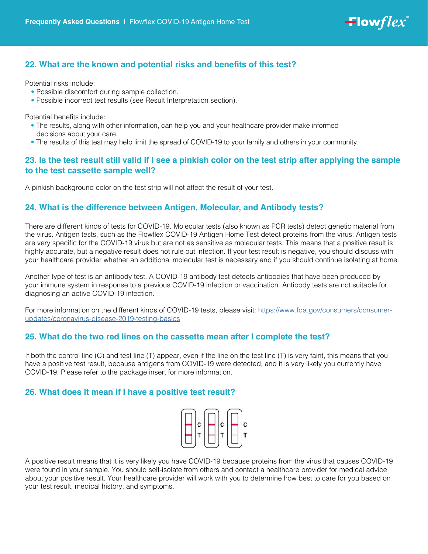

# **22. What are the known and potential risks and benefits of this test?**

Potential risks include:

- Possible discomfort during sample collection.
- Possible incorrect test results (see Result Interpretation section).

Potential benefits include:

- The results, along with other information, can help you and your healthcare provider make informed decisions about your care.
- The results of this test may help limit the spread of COVID-19 to your family and others in your community.

# **23. Is the test result still valid if I see a pinkish color on the test strip after applying the sample to the test cassette sample well?**

A pinkish background color on the test strip will not affect the result of your test.

## **24. What is the difference between Antigen, Molecular, and Antibody tests?**

There are different kinds of tests for COVID-19. Molecular tests (also known as PCR tests) detect genetic material from the virus. Antigen tests, such as the Flowflex COVID-19 Antigen Home Test detect proteins from the virus. Antigen tests are very specific for the COVID-19 virus but are not as sensitive as molecular tests. This means that a positive result is highly accurate, but a negative result does not rule out infection. If your test result is negative, you should discuss with your healthcare provider whether an additional molecular test is necessary and if you should continue isolating at home.

Another type of test is an antibody test. A COVID-19 antibody test detects antibodies that have been produced by your immune system in response to a previous COVID-19 infection or vaccination. Antibody tests are not suitable for diagnosing an active COVID-19 infection.

For more information on the different kinds of COVID-19 tests, please visit: [https://www.fda.gov/consumers/consumer](https://www.fda.gov/consumers/consumer-updates/coronavirus-disease-2019-testing-basics)[updates/coronavirus-disease-2019-testing-basics](https://www.fda.gov/consumers/consumer-updates/coronavirus-disease-2019-testing-basics)

## **25. What do the two red lines on the cassette mean after I complete the test?**

If both the control line (C) and test line (T) appear, even if the line on the test line (T) is very faint, this means that you have a positive test result, because antigens from COVID-19 were detected, and it is very likely you currently have COVID-19. Please refer to the package insert for more information.

## **26. What does it mean if I have a positive test result?**



A positive result means that it is very likely you have COVID-19 because proteins from the virus that causes COVID-19 were found in your sample. You should self-isolate from others and contact a healthcare provider for medical advice about your positive result. Your healthcare provider will work with you to determine how best to care for you based on your test result, medical history, and symptoms.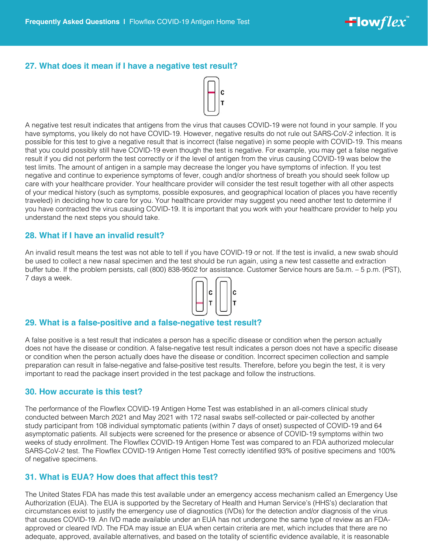## **27. What does it mean if I have a negative test result?**



A negative test result indicates that antigens from the virus that causes COVID-19 were not found in your sample. If you have symptoms, you likely do not have COVID-19. However, negative results do not rule out SARS-CoV-2 infection. It is possible for this test to give a negative result that is incorrect (false negative) in some people with COVID-19. This means that you could possibly still have COVID-19 even though the test is negative. For example, you may get a false negative result if you did not perform the test correctly or if the level of antigen from the virus causing COVID-19 was below the test limits. The amount of antigen in a sample may decrease the longer you have symptoms of infection. If you test negative and continue to experience symptoms of fever, cough and/or shortness of breath you should seek follow up care with your healthcare provider. Your healthcare provider will consider the test result together with all other aspects of your medical history (such as symptoms, possible exposures, and geographical location of places you have recently traveled) in deciding how to care for you. Your healthcare provider may suggest you need another test to determine if you have contracted the virus causing COVID-19. It is important that you work with your healthcare provider to help you understand the next steps you should take.

## **28. What if I have an invalid result?**

An invalid result means the test was not able to tell if you have COVID-19 or not. If the test is invalid, a new swab should be used to collect a new nasal specimen and the test should be run again, using a new test cassette and extraction buffer tube. If the problem persists, call (800) 838-9502 for assistance. Customer Service hours are 5a.m. – 5 p.m. (PST), 7 days a week.



## **29. What is a false-positive and a false-negative test result?**

A false positive is a test result that indicates a person has a specific disease or condition when the person actually does not have the disease or condition. A false-negative test result indicates a person does not have a specific disease or condition when the person actually does have the disease or condition. Incorrect specimen collection and sample preparation can result in false-negative and false-positive test results. Therefore, before you begin the test, it is very important to read the package insert provided in the test package and follow the instructions.

#### **30. How accurate is this test?**

The performance of the Flowflex COVID-19 Antigen Home Test was established in an all-comers clinical study conducted between March 2021 and May 2021 with 172 nasal swabs self-collected or pair-collected by another study participant from 108 individual symptomatic patients (within 7 days of onset) suspected of COVID-19 and 64 asymptomatic patients. All subjects were screened for the presence or absence of COVID-19 symptoms within two weeks of study enrollment. The Flowflex COVID-19 Antigen Home Test was compared to an FDA authorized molecular SARS-CoV-2 test. The Flowflex COVID-19 Antigen Home Test correctly identified 93% of positive specimens and 100% of negative specimens.

## **31. What is EUA? How does that affect this test?**

The United States FDA has made this test available under an emergency access mechanism called an Emergency Use Authorization (EUA). The EUA is supported by the Secretary of Health and Human Service's (HHS's) declaration that circumstances exist to justify the emergency use of diagnostics (IVDs) for the detection and/or diagnosis of the virus that causes COVID-19. An IVD made available under an EUA has not undergone the same type of review as an FDAapproved or cleared IVD. The FDA may issue an EUA when certain criteria are met, which includes that there are no adequate, approved, available alternatives, and based on the totality of scientific evidence available, it is reasonable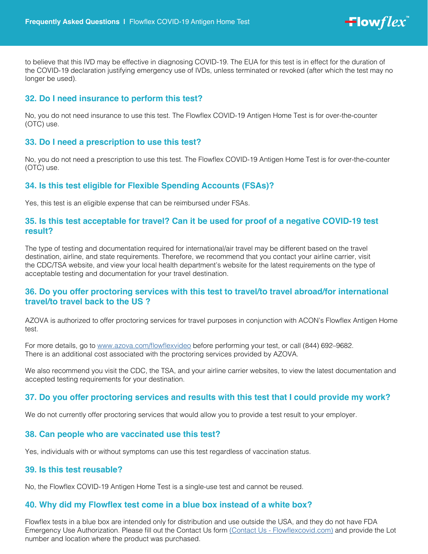

to believe that this IVD may be effective in diagnosing COVID-19. The EUA for this test is in effect for the duration of the COVID-19 declaration justifying emergency use of IVDs, unless terminated or revoked (after which the test may no longer be used).

## **32. Do I need insurance to perform this test?**

No, you do not need insurance to use this test. The Flowflex COVID-19 Antigen Home Test is for over-the-counter (OTC) use.

## **33. Do I need a prescription to use this test?**

No, you do not need a prescription to use this test. The Flowflex COVID-19 Antigen Home Test is for over-the-counter (OTC) use.

## **34. Is this test eligible for Flexible Spending Accounts (FSAs)?**

Yes, this test is an eligible expense that can be reimbursed under FSAs.

## **35. Is this test acceptable for travel? Can it be used for proof of a negative COVID-19 test result?**

The type of testing and documentation required for international/air travel may be different based on the travel destination, airline, and state requirements. Therefore, we recommend that you contact your airline carrier, visit the CDC/TSA website, and view your local health department's website for the latest requirements on the type of acceptable testing and documentation for your travel destination.

## **36. Do you offer proctoring services with this test to travel/to travel abroad/for international travel/to travel back to the US ?**

AZOVA is authorized to offer proctoring services for travel purposes in conjunction with ACON's Flowflex Antigen Home test.

For more details, go to<www.azova.com/flowflexvideo> before performing your test, or call (844) 692-9682. There is an additional cost associated with the proctoring services provided by AZOVA.

We also recommend you visit the CDC, the TSA, and your airline carrier websites, to view the latest documentation and accepted testing requirements for your destination.

## **37. Do you offer proctoring services and results with this test that I could provide my work?**

We do not currently offer proctoring services that would allow you to provide a test result to your employer.

## **38. Can people who are vaccinated use this test?**

Yes, individuals with or without symptoms can use this test regardless of vaccination status.

#### **39. Is this test reusable?**

No, the Flowflex COVID-19 Antigen Home Test is a single-use test and cannot be reused.

## **40. Why did my Flowflex test come in a blue box instead of a white box?**

Flowflex tests in a blue box are intended only for distribution and use outside the USA, and they do not have FDA Emergency Use Authorization. Please fill out the Contact Us form [\(Contact Us - Flowflexcovid.com\)](https://flowflexcovid.com/contact-us/) and provide the Lot number and location where the product was purchased.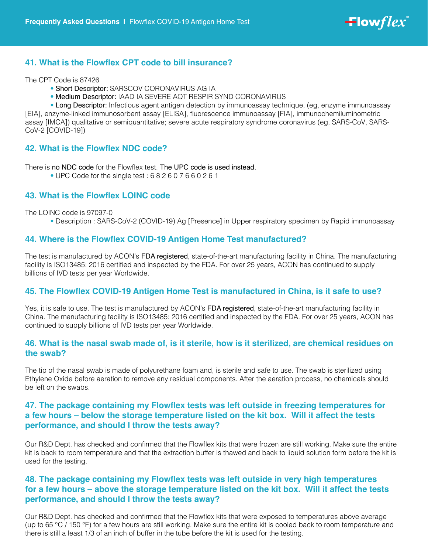

## **41. What is the Flowflex CPT code to bill insurance?**

The CPT Code is 87426

- Short Descriptor: SARSCOV CORONAVIRUS AG IA
- Medium Descriptor: IAAD IA SEVERE AQT RESPIR SYND CORONAVIRUS

• Long Descriptor: Infectious agent antigen detection by immunoassay technique, (eg, enzyme immunoassay [EIA], enzyme-linked immunosorbent assay [ELISA], fluorescence immunoassay [FIA], immunochemiluminometric assay [IMCA]) qualitative or semiquantitative; severe acute respiratory syndrome coronavirus (eg, SARS-CoV, SARS-CoV-2 [COVID-19])

## **42. What is the Flowflex NDC code?**

There is no NDC code for the Flowflex test. The UPC code is used instead.

• UPC Code for the single test : 6 8 2 6 0 7 6 6 0 2 6 1

## **43. What is the Flowflex LOINC code**

#### The LOINC code is 97097-0

• Description : SARS-CoV-2 (COVID-19) Ag [Presence] in Upper respiratory specimen by Rapid immunoassay

## **44. Where is the Flowflex COVID-19 Antigen Home Test manufactured?**

The test is manufactured by ACON's FDA registered, state-of-the-art manufacturing facility in China. The manufacturing facility is ISO13485: 2016 certified and inspected by the FDA. For over 25 years, ACON has continued to supply billions of IVD tests per year Worldwide.

## **45. The Flowflex COVID-19 Antigen Home Test is manufactured in China, is it safe to use?**

Yes, it is safe to use. The test is manufactured by ACON's FDA registered, state-of-the-art manufacturing facility in China. The manufacturing facility is ISO13485: 2016 certified and inspected by the FDA. For over 25 years, ACON has continued to supply billions of IVD tests per year Worldwide.

## **46. What is the nasal swab made of, is it sterile, how is it sterilized, are chemical residues on the swab?**

The tip of the nasal swab is made of polyurethane foam and, is sterile and safe to use. The swab is sterilized using Ethylene Oxide before aeration to remove any residual components. After the aeration process, no chemicals should be left on the swabs.

# **47. The package containing my Flowflex tests was left outside in freezing temperatures for a few hours – below the storage temperature listed on the kit box. Will it affect the tests performance, and should I throw the tests away?**

Our R&D Dept. has checked and confirmed that the Flowflex kits that were frozen are still working. Make sure the entire kit is back to room temperature and that the extraction buffer is thawed and back to liquid solution form before the kit is used for the testing.

# **48. The package containing my Flowflex tests was left outside in very high temperatures for a few hours – above the storage temperature listed on the kit box. Will it affect the tests performance, and should I throw the tests away?**

Our R&D Dept. has checked and confirmed that the Flowflex kits that were exposed to temperatures above average (up to 65 °C / 150 °F) for a few hours are still working. Make sure the entire kit is cooled back to room temperature and there is still a least 1/3 of an inch of buffer in the tube before the kit is used for the testing.